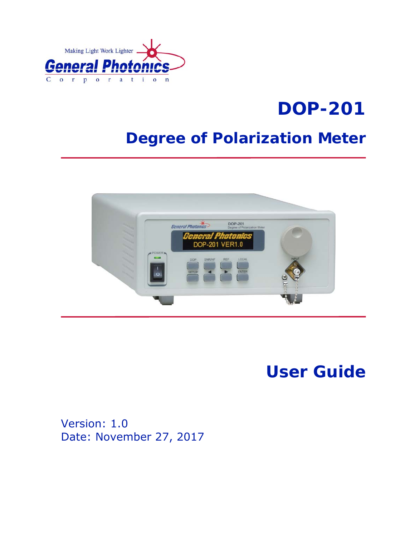

# **DOP-201**

# **Degree of Polarization Meter**



# **User Guide**

Version: 1.0 Date: November 27, 2017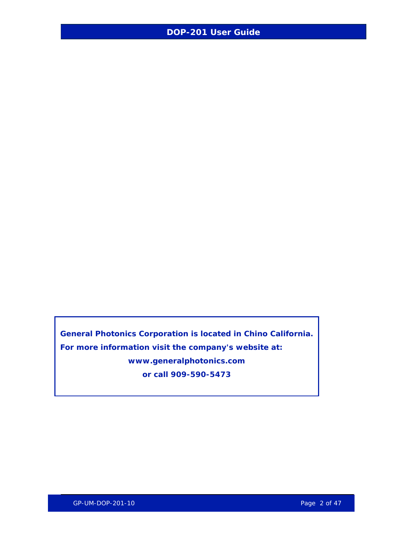**www.generalphotonics.com or call 909-590-5473 General Photonics Corporation is located in Chino California. For more information visit the company's website at:**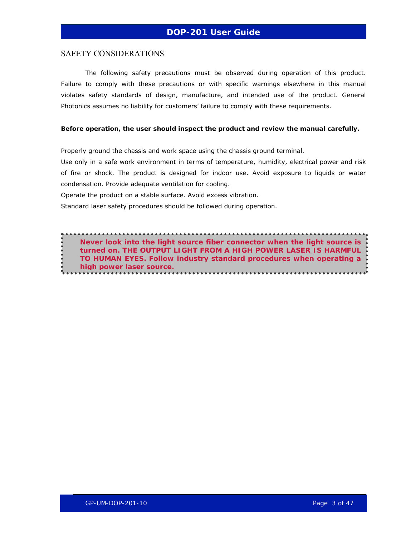#### SAFETY CONSIDERATIONS

The following safety precautions must be observed during operation of this product. Failure to comply with these precautions or with specific warnings elsewhere in this manual violates safety standards of design, manufacture, and intended use of the product. General Photonics assumes no liability for customers' failure to comply with these requirements.

#### **Before operation, the user should inspect the product and review the manual carefully.**

Properly ground the chassis and work space using the chassis ground terminal.

Use only in a safe work environment in terms of temperature, humidity, electrical power and risk of fire or shock. The product is designed for indoor use. Avoid exposure to liquids or water condensation. Provide adequate ventilation for cooling.

Operate the product on a stable surface. Avoid excess vibration.

Standard laser safety procedures should be followed during operation.

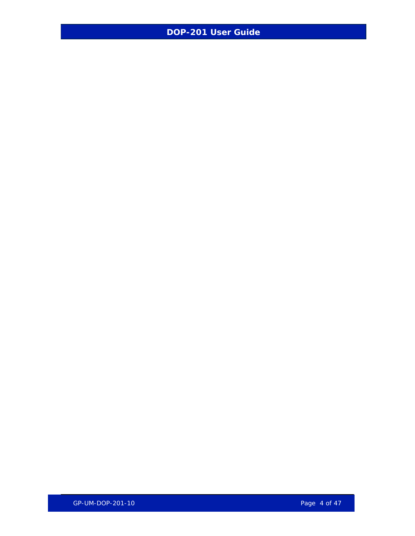*GP-UM-DOP-201-10 Page 4 of 47*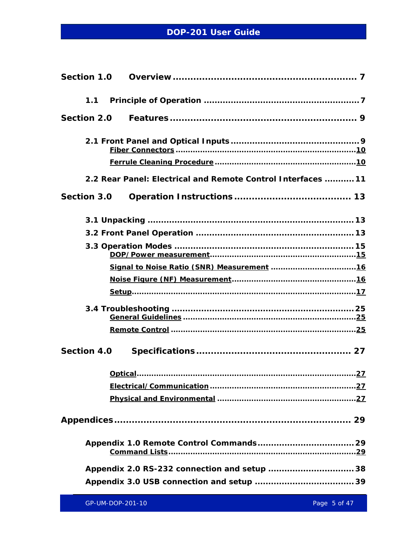| Section 1.0 |                                                              |    |
|-------------|--------------------------------------------------------------|----|
| 1.1         |                                                              |    |
| Section 2.0 |                                                              |    |
|             |                                                              |    |
|             |                                                              |    |
|             |                                                              |    |
|             | 2.2 Rear Panel: Electrical and Remote Control Interfaces  11 |    |
| Section 3.0 |                                                              |    |
|             |                                                              |    |
|             |                                                              |    |
|             |                                                              |    |
|             |                                                              |    |
|             |                                                              |    |
|             |                                                              |    |
|             |                                                              |    |
|             |                                                              |    |
|             |                                                              |    |
|             |                                                              |    |
| Section 4.0 |                                                              |    |
|             |                                                              | 27 |
|             |                                                              |    |
|             |                                                              |    |
|             |                                                              |    |
|             |                                                              |    |
|             | Appendix 2.0 RS-232 connection and setup  38                 |    |
|             |                                                              |    |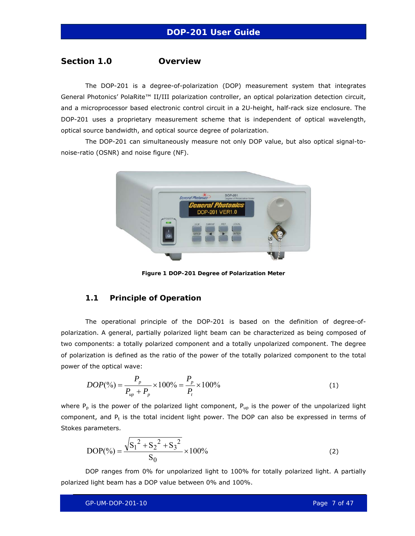## <span id="page-6-0"></span>**Section 1.0 Overview**

The DOP-201 is a degree-of-polarization (DOP) measurement system that integrates General Photonics' PolaRite™ II/III polarization controller, an optical polarization detection circuit, and a microprocessor based electronic control circuit in a 2U-height, half-rack size enclosure. The DOP-201 uses a proprietary measurement scheme that is independent of optical wavelength, optical source bandwidth, and optical source degree of polarization.

The DOP-201 can simultaneously measure not only DOP value, but also optical signal-tonoise-ratio (OSNR) and noise figure (NF).



**Figure 1 DOP-201 Degree of Polarization Meter** 

### **1.1 Principle of Operation**

The operational principle of the DOP-201 is based on the definition of degree-ofpolarization. A general, partially polarized light beam can be characterized as being composed of two components: a totally polarized component and a totally unpolarized component. The degree of polarization is defined as the ratio of the power of the totally polarized component to the total power of the optical wave:

$$
DOP(^{0}/_{0}) = \frac{P_p}{P_{up} + P_p} \times 100\% = \frac{P_p}{P_t} \times 100\%
$$
\n(1)

where  $P_p$  is the power of the polarized light component,  $P_{up}$  is the power of the unpolarized light component, and  $P_t$  is the total incident light power. The DOP can also be expressed in terms of Stokes parameters.

$$
DOP(*) = \frac{\sqrt{S_1^2 + S_2^2 + S_3^2}}{S_0} \times 100\%
$$
 (2)

DOP ranges from 0% for unpolarized light to 100% for totally polarized light. A partially polarized light beam has a DOP value between 0% and 100%.

*GP-UM-DOP-201-10*  $\overline{P}$  *COP-UM-DOP-201-10*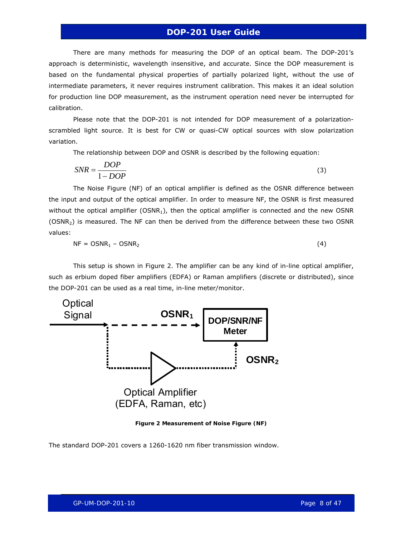There are many methods for measuring the DOP of an optical beam. The DOP-201's approach is deterministic, wavelength insensitive, and accurate. Since the DOP measurement is based on the fundamental physical properties of partially polarized light, without the use of intermediate parameters, it never requires instrument calibration. This makes it an ideal solution for production line DOP measurement, as the instrument operation need never be interrupted for calibration.

Please note that the DOP-201 is not intended for DOP measurement of a polarizationscrambled light source. It is best for CW or quasi-CW optical sources with slow polarization variation.

The relationship between DOP and OSNR is described by the following equation:

$$
SNR = \frac{DOP}{1 - DOP}
$$
 (3)

The Noise Figure (NF) of an optical amplifier is defined as the OSNR difference between the input and output of the optical amplifier. In order to measure NF, the OSNR is first measured without the optical amplifier  $(OSNR<sub>1</sub>)$ , then the optical amplifier is connected and the new OSNR  $(OSNR<sub>2</sub>)$  is measured. The NF can then be derived from the difference between these two OSNR values:

$$
NF = OSNR_1 - OSNR_2 \tag{4}
$$

This setup is shown in [Figure 2](#page-7-0). The amplifier can be any kind of in-line optical amplifier, such as erbium doped fiber amplifiers (EDFA) or Raman amplifiers (discrete or distributed), since the DOP-201 can be used as a real time, in-line meter/monitor.



**Figure 2 Measurement of Noise Figure (NF)** 

<span id="page-7-0"></span>The standard DOP-201 covers a 1260-1620 nm fiber transmission window.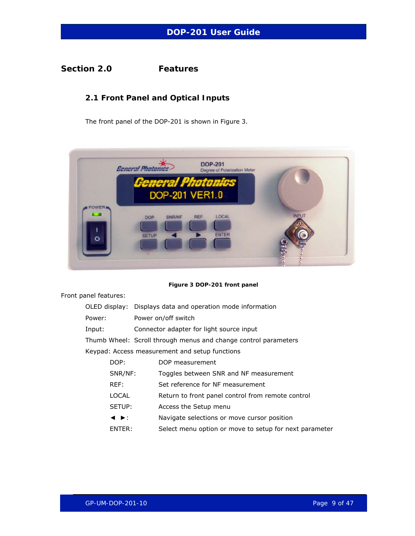## <span id="page-8-0"></span>**Section 2.0 Features**

## **2.1 Front Panel and Optical Inputs**

The front panel of the DOP-201 is shown in [Figure 3.](#page-8-1)

| Conoral Dhotonics   |                                            | <b>DOP-201</b><br>Degree of Polarization Meter |              |
|---------------------|--------------------------------------------|------------------------------------------------|--------------|
|                     | <b>General Photonics</b><br>DOP-201 VER1.0 |                                                |              |
| <b>POWER</b><br>. . | <b>SNR/NF</b><br><b>DOP</b>                | LOCAL<br><b>REF</b>                            | <b>INPUT</b> |
|                     | <b>SETUP</b>                               | <b>ENTER</b>                                   |              |

**Figure 3 DOP-201 front panel** 

<span id="page-8-1"></span>Front panel features:

| OLED display: Displays data and operation mode information |                                              |  |                                                                 |  |  |
|------------------------------------------------------------|----------------------------------------------|--|-----------------------------------------------------------------|--|--|
| Power:                                                     |                                              |  | Power on/off switch                                             |  |  |
| Input:                                                     |                                              |  | Connector adapter for light source input                        |  |  |
|                                                            |                                              |  | Thumb Wheel: Scroll through menus and change control parameters |  |  |
|                                                            |                                              |  | Keypad: Access measurement and setup functions                  |  |  |
|                                                            | DOP:                                         |  | DOP measurement                                                 |  |  |
|                                                            | SNR/NF:                                      |  | Toggles between SNR and NF measurement                          |  |  |
|                                                            | REF:                                         |  | Set reference for NF measurement                                |  |  |
|                                                            | <b>LOCAL</b>                                 |  | Return to front panel control from remote control               |  |  |
|                                                            | SETUP:                                       |  | Access the Setup menu                                           |  |  |
|                                                            | $\blacktriangleleft$ $\blacktriangleright$ : |  | Navigate selections or move cursor position                     |  |  |
|                                                            | ENTER:                                       |  | Select menu option or move to setup for next parameter          |  |  |
|                                                            |                                              |  |                                                                 |  |  |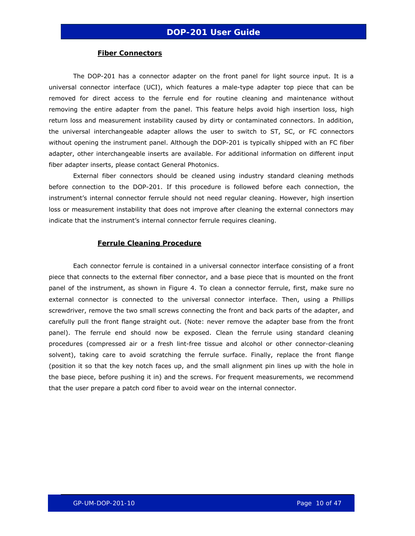#### **Fiber Connectors**

<span id="page-9-0"></span>The DOP-201 has a connector adapter on the front panel for light source input. It is a universal connector interface (UCI), which features a male-type adapter top piece that can be removed for direct access to the ferrule end for routine cleaning and maintenance without removing the entire adapter from the panel. This feature helps avoid high insertion loss, high return loss and measurement instability caused by dirty or contaminated connectors. In addition, the universal interchangeable adapter allows the user to switch to ST, SC, or FC connectors without opening the instrument panel. Although the DOP-201 is typically shipped with an FC fiber adapter, other interchangeable inserts are available. For additional information on different input fiber adapter inserts, please contact General Photonics.

External fiber connectors should be cleaned using industry standard cleaning methods before connection to the DOP-201. If this procedure is followed before each connection, the instrument's internal connector ferrule should not need regular cleaning. However, high insertion loss or measurement instability that does not improve after cleaning the external connectors may indicate that the instrument's internal connector ferrule requires cleaning.

#### **Ferrule Cleaning Procedure**

Each connector ferrule is contained in a universal connector interface consisting of a front piece that connects to the external fiber connector, and a base piece that is mounted on the front panel of the instrument, as shown in [Figure 4.](#page-10-1) To clean a connector ferrule, first, make sure no external connector is connected to the universal connector interface. Then, using a Phillips screwdriver, remove the two small screws connecting the front and back parts of the adapter, and carefully pull the front flange straight out. (Note: never remove the adapter base from the front panel). The ferrule end should now be exposed. Clean the ferrule using standard cleaning procedures (compressed air or a fresh lint-free tissue and alcohol or other connector-cleaning solvent), taking care to avoid scratching the ferrule surface. Finally, replace the front flange (position it so that the key notch faces up, and the small alignment pin lines up with the hole in the base piece, before pushing it in) and the screws. For frequent measurements, we recommend that the user prepare a patch cord fiber to avoid wear on the internal connector.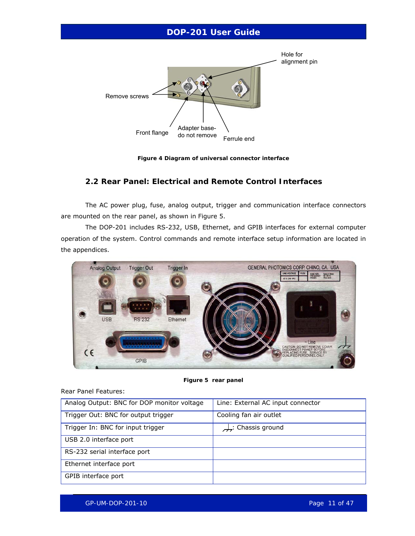<span id="page-10-0"></span>

**Figure 4 Diagram of universal connector interface** 

## **2.2 Rear Panel: Electrical and Remote Control Interfaces**

<span id="page-10-1"></span>The AC power plug, fuse, analog output, trigger and communication interface connectors are mounted on the rear panel, as shown in [Figure 5](#page-10-2).

The DOP-201 includes RS-232, USB, Ethernet, and GPIB interfaces for external computer operation of the system. Control commands and remote interface setup information are located in the appendices.



**Figure 5 rear panel** 

| Analog Output: BNC for DOP monitor voltage | Line: External AC input connector |
|--------------------------------------------|-----------------------------------|
| Trigger Out: BNC for output trigger        | Cooling fan air outlet            |
| Trigger In: BNC for input trigger          | Chassis ground : پلے              |
| USB 2.0 interface port                     |                                   |
| RS-232 serial interface port               |                                   |
| Ethernet interface port                    |                                   |
| GPIB interface port                        |                                   |

*GP-UM-DOP-201-10 Page 11 of 47* 

<span id="page-10-2"></span>Rear Panel Features: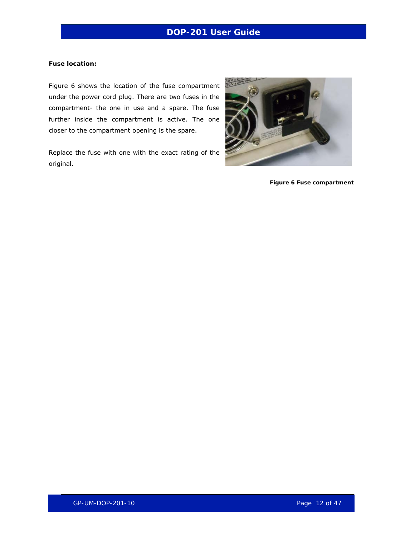#### **Fuse location:**

[Figure 6](#page-11-0) shows the location of the fuse compartment under the power cord plug. There are two fuses in the compartment- the one in use and a spare. The fuse further inside the compartment is active. The one closer to the compartment opening is the spare.

<span id="page-11-0"></span>Replace the fuse with one with the exact rating of the original.



**Figure 6 Fuse compartment**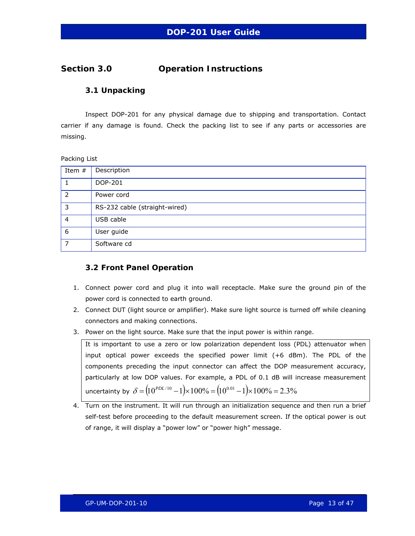## <span id="page-12-0"></span>**Section 3.0 Operation Instructions**

## **3.1 Unpacking**

Inspect DOP-201 for any physical damage due to shipping and transportation. Contact carrier if any damage is found. Check the packing list to see if any parts or accessories are missing.

#### Packing List

| Item #         | Description                   |
|----------------|-------------------------------|
|                | DOP-201                       |
| 2              | Power cord                    |
| 3              | RS-232 cable (straight-wired) |
| $\overline{4}$ | USB cable                     |
| 6              | User guide                    |
| 7              | Software cd                   |

## **3.2 Front Panel Operation**

- 1. Connect power cord and plug it into wall receptacle. Make sure the ground pin of the power cord is connected to earth ground.
- 2. Connect DUT (light source or amplifier). Make sure light source is turned off while cleaning connectors and making connections.
- 3. Power on the light source. Make sure that the input power is within range.

It is important to use a zero or low polarization dependent loss (PDL) attenuator when input optical power exceeds the specified power limit (+6 dBm). The PDL of the components preceding the input connector can affect the DOP measurement accuracy, particularly at low DOP values. For example, a PDL of 0.1 dB will increase measurement uncertainty by  $\delta = (10^{PDL/10}-1)\times100\% = (10^{0.01}-1)\times100\% = 2.3\%$ 

4. Turn on the instrument. It will run through an initialization sequence and then run a brief self-test before proceeding to the default measurement screen. If the optical power is out of range, it will display a "power low" or "power high" message.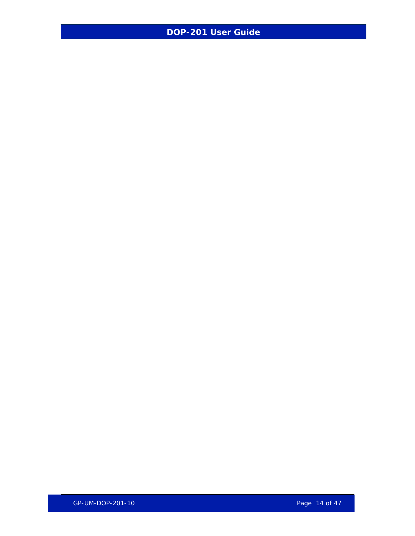*GP-UM-DOP-201-10 Page 14 of 47*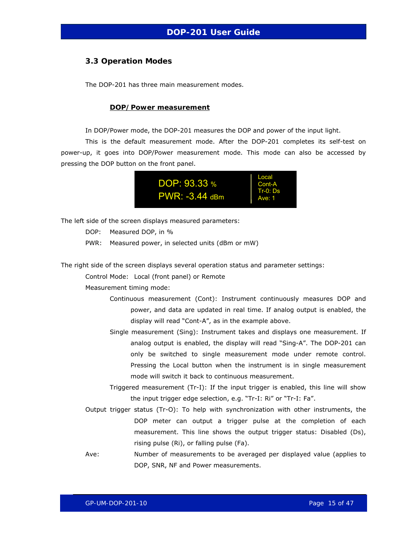#### <span id="page-14-0"></span>**3.3 Operation Modes**

The DOP-201 has three main measurement modes.

#### **DOP/Power measurement**

In DOP/Power mode, the DOP-201 measures the DOP and power of the input light.

This is the default measurement mode. After the DOP-201 completes its self-test on power-up, it goes into DOP/Power measurement mode. This mode can also be accessed by pressing the DOP button on the front panel.



The left side of the screen displays measured parameters:

- DOP: Measured DOP, in %
- PWR: Measured power, in selected units (dBm or mW)

The right side of the screen displays several operation status and parameter settings:

Control Mode: Local (front panel) or Remote

Measurement timing mode:

- Continuous measurement (Cont): Instrument continuously measures DOP and power, and data are updated in real time. If analog output is enabled, the display will read "Cont-A", as in the example above.
- Single measurement (Sing): Instrument takes and displays one measurement. If analog output is enabled, the display will read "Sing-A". The DOP-201 can only be switched to single measurement mode under remote control. Pressing the Local button when the instrument is in single measurement mode will switch it back to continuous measurement.
- Triggered measurement (Tr-I): If the input trigger is enabled, this line will show the input trigger edge selection, e.g. "Tr-I: Ri" or "Tr-I: Fa".
- Output trigger status (Tr-O): To help with synchronization with other instruments, the DOP meter can output a trigger pulse at the completion of each measurement. This line shows the output trigger status: Disabled (Ds), rising pulse (Ri), or falling pulse (Fa).
- Ave: Number of measurements to be averaged per displayed value (applies to DOP, SNR, NF and Power measurements.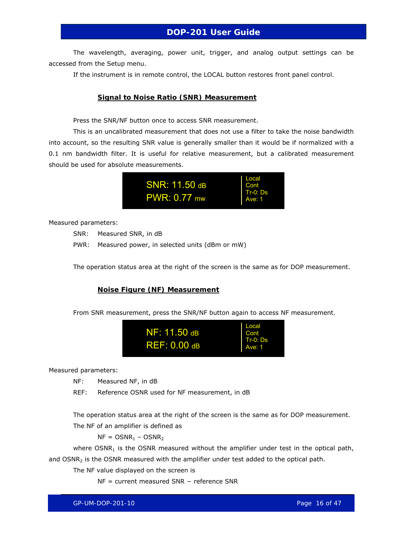<span id="page-15-0"></span>The wavelength, averaging, power unit, trigger, and analog output settings can be accessed from the Setup menu.

If the instrument is in remote control, the LOCAL button restores front panel control.

#### **Signal to Noise Ratio (SNR) Measurement**

Press the SNR/NF button once to access SNR measurement.

This is an uncalibrated measurement that does not use a filter to take the noise bandwidth into account, so the resulting SNR value is generally smaller than it would be if normalized with a 0.1 nm bandwidth filter. It is useful for relative measurement, but a calibrated measurement should be used for absolute measurements.



Measured parameters:

- SNR: Measured SNR, in dB
- PWR: Measured power, in selected units (dBm or mW)

The operation status area at the right of the screen is the same as for DOP measurement.

#### **Noise Figure (NF) Measurement**

From SNR measurement, press the SNR/NF button again to access NF measurement.



Measured parameters:

NF: Measured NF, in dB

REF: Reference OSNR used for NF measurement, in dB

The operation status area at the right of the screen is the same as for DOP measurement.

The NF of an amplifier is defined as

 $NF = OSNR_1 - OSNR_2$ 

where  $OSNR_1$  is the  $OSNR$  measured without the amplifier under test in the optical path, and OSNR<sub>2</sub> is the OSNR measured with the amplifier under test added to the optical path.

The NF value displayed on the screen is

NF = current measured SNR − reference SNR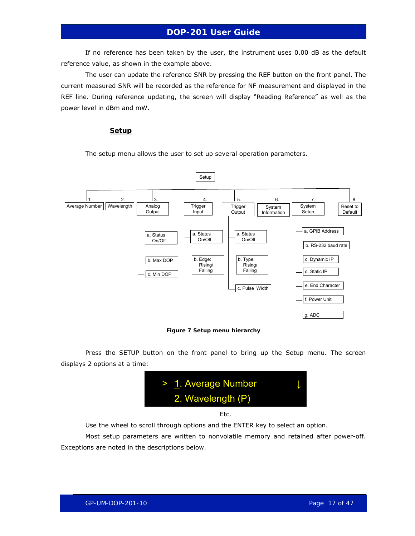<span id="page-16-0"></span>If no reference has been taken by the user, the instrument uses 0.00 dB as the default reference value, as shown in the example above.

The user can update the reference SNR by pressing the REF button on the front panel. The current measured SNR will be recorded as the reference for NF measurement and displayed in the REF line. During reference updating, the screen will display "Reading Reference" as well as the power level in dBm and mW.

#### **Setup**

The setup menu allows the user to set up several operation parameters.



#### **Figure 7 Setup menu hierarchy**

Press the SETUP button on the front panel to bring up the Setup menu. The screen displays 2 options at a time:



Etc.

Use the wheel to scroll through options and the ENTER key to select an option.

Most setup parameters are written to nonvolatile memory and retained after power-off. Exceptions are noted in the descriptions below.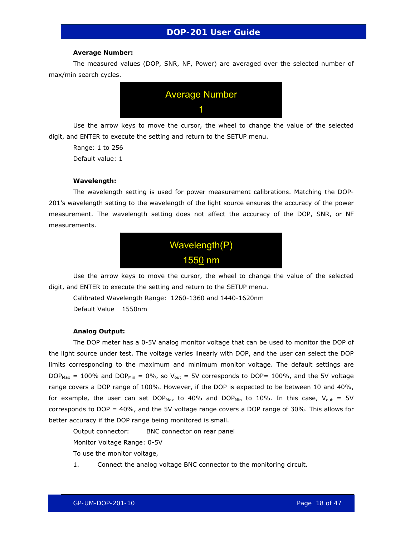#### **Average Number:**

The measured values (DOP, SNR, NF, Power) are averaged over the selected number of max/min search cycles.



Use the arrow keys to move the cursor, the wheel to change the value of the selected digit, and ENTER to execute the setting and return to the SETUP menu.

Range: 1 to 256 Default value: 1

#### **Wavelength:**

The wavelength setting is used for power measurement calibrations. Matching the DOP-201's wavelength setting to the wavelength of the light source ensures the accuracy of the power measurement. The wavelength setting does not affect the accuracy of the DOP, SNR, or NF measurements.



Use the arrow keys to move the cursor, the wheel to change the value of the selected digit, and ENTER to execute the setting and return to the SETUP menu.

Calibrated Wavelength Range: 1260-1360 and 1440-1620nm

Default Value 1550nm

#### **Analog Output:**

The DOP meter has a 0-5V analog monitor voltage that can be used to monitor the DOP of the light source under test. The voltage varies linearly with DOP, and the user can select the DOP limits corresponding to the maximum and minimum monitor voltage. The default settings are DOP<sub>Max</sub> = 100% and DOP<sub>Min</sub> = 0%, so V<sub>out</sub> = 5V corresponds to DOP= 100%, and the 5V voltage range covers a DOP range of 100%. However, if the DOP is expected to be between 10 and 40%, for example, the user can set DOP<sub>Max</sub> to 40% and DOP<sub>Min</sub> to 10%. In this case, V<sub>out</sub> = 5V corresponds to DOP = 40%, and the 5V voltage range covers a DOP range of 30%. This allows for better accuracy if the DOP range being monitored is small.

Output connector: BNC connector on rear panel

Monitor Voltage Range: 0-5V

To use the monitor voltage,

1. Connect the analog voltage BNC connector to the monitoring circuit.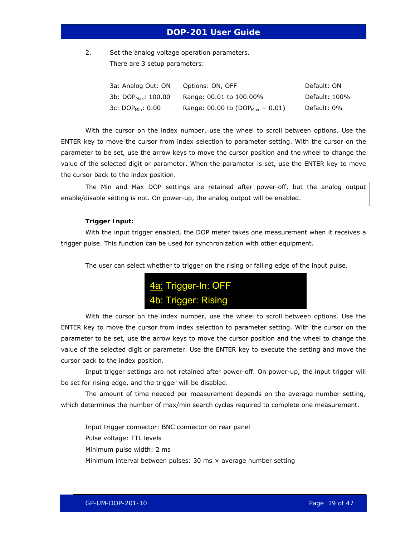2. Set the analog voltage operation parameters. There are 3 setup parameters:

| 3a: Analog Out: ON              | Options: ON, OFF                             | Default: ON   |
|---------------------------------|----------------------------------------------|---------------|
| 3b: $DOP_{\text{Max}}$ : 100.00 | Range: 00.01 to 100.00%                      | Default: 100% |
| 3c: DOP <sub>Min</sub> : 0.00   | Range: 00.00 to (DOP $_{\text{Max}}$ – 0.01) | Default: 0%   |

With the cursor on the index number, use the wheel to scroll between options. Use the ENTER key to move the cursor from index selection to parameter setting. With the cursor on the parameter to be set, use the arrow keys to move the cursor position and the wheel to change the value of the selected digit or parameter. When the parameter is set, use the ENTER key to move the cursor back to the index position.

The Min and Max DOP settings are retained after power-off, but the analog output enable/disable setting is not. On power-up, the analog output will be enabled.

#### **Trigger Input:**

With the input trigger enabled, the DOP meter takes one measurement when it receives a trigger pulse. This function can be used for synchronization with other equipment.

The user can select whether to trigger on the rising or falling edge of the input pulse.



With the cursor on the index number, use the wheel to scroll between options. Use the ENTER key to move the cursor from index selection to parameter setting. With the cursor on the parameter to be set, use the arrow keys to move the cursor position and the wheel to change the value of the selected digit or parameter. Use the ENTER key to execute the setting and move the cursor back to the index position.

Input trigger settings are not retained after power-off. On power-up, the input trigger will be set for rising edge, and the trigger will be disabled.

The amount of time needed per measurement depends on the average number setting, which determines the number of max/min search cycles required to complete one measurement.

Input trigger connector: BNC connector on rear panel Pulse voltage: TTL levels Minimum pulse width: 2 ms Minimum interval between pulses: 30 ms  $\times$  average number setting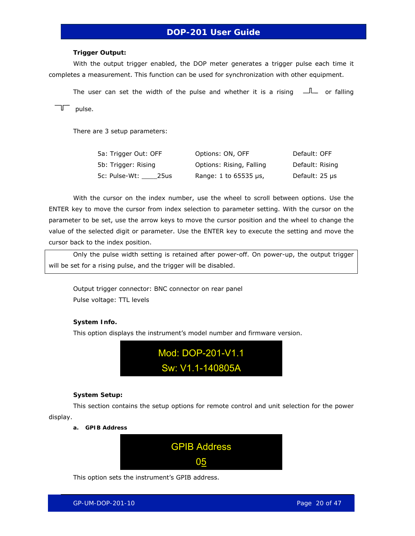#### **Trigger Output:**

With the output trigger enabled, the DOP meter generates a trigger pulse each time it completes a measurement. This function can be used for synchronization with other equipment.

The user can set the width of the pulse and whether it is a rising  $\Box$  or falling

 $T$  pulse.

There are 3 setup parameters:

| 5a: Trigger Out: OFF   | Options: ON, OFF              | Default: OFF    |
|------------------------|-------------------------------|-----------------|
| 5b: Trigger: Rising    | Options: Rising, Falling      | Default: Rising |
| 5c: Pulse-Wt:<br>-25us | Range: 1 to $65535 \,\mu s$ , | Default: 25 µs  |

With the cursor on the index number, use the wheel to scroll between options. Use the ENTER key to move the cursor from index selection to parameter setting. With the cursor on the parameter to be set, use the arrow keys to move the cursor position and the wheel to change the value of the selected digit or parameter. Use the ENTER key to execute the setting and move the cursor back to the index position.

Only the pulse width setting is retained after power-off. On power-up, the output trigger will be set for a rising pulse, and the trigger will be disabled.

Output trigger connector: BNC connector on rear panel Pulse voltage: TTL levels

#### **System Info.**

This option displays the instrument's model number and firmware version.



#### **System Setup:**

This section contains the setup options for remote control and unit selection for the power display.

**a. GPIB Address** 



This option sets the instrument's GPIB address.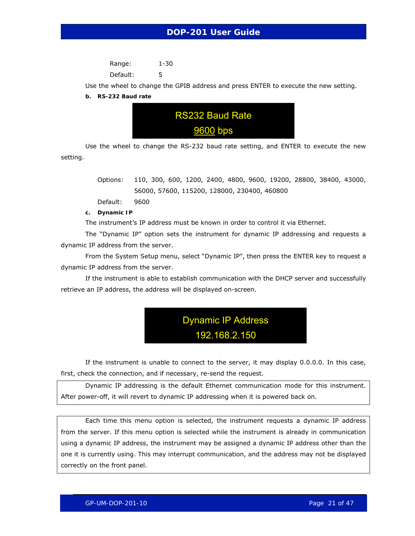| Range:   | $1 - 30$ |
|----------|----------|
| Default: | 5        |

Use the wheel to change the GPIB address and press ENTER to execute the new setting.

**b. RS-232 Baud rate** 



Use the wheel to change the RS-232 baud rate setting, and ENTER to execute the new setting.

> Options: 110, 300, 600, 1200, 2400, 4800, 9600, 19200, 28800, 38400, 43000, 56000, 57600, 115200, 128000, 230400, 460800

Default: 9600

#### **c. Dynamic IP**

The instrument's IP address must be known in order to control it via Ethernet.

The "Dynamic IP" option sets the instrument for dynamic IP addressing and requests a dynamic IP address from the server.

From the System Setup menu, select "Dynamic IP", then press the ENTER key to request a dynamic IP address from the server.

If the instrument is able to establish communication with the DHCP server and successfully retrieve an IP address, the address will be displayed on-screen.



If the instrument is unable to connect to the server, it may display 0.0.0.0. In this case, first, check the connection, and if necessary, re-send the request.

Dynamic IP addressing is the default Ethernet communication mode for this instrument. After power-off, it will revert to dynamic IP addressing when it is powered back on.

Each time this menu option is selected, the instrument requests a dynamic IP address from the server. If this menu option is selected while the instrument is already in communication using a dynamic IP address, the instrument may be assigned a dynamic IP address other than the one it is currently using. This may interrupt communication, and the address may not be displayed correctly on the front panel.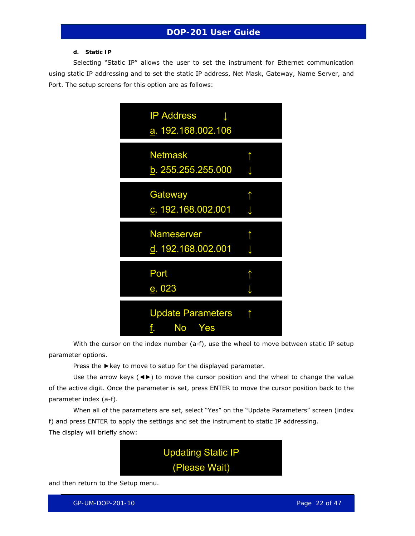#### **d. Static IP**

Selecting "Static IP" allows the user to set the instrument for Ethernet communication using static IP addressing and to set the static IP address, Net Mask, Gateway, Name Server, and Port. The setup screens for this option are as follows:

| <b>IP Address</b><br>J<br>a. 192.168.002.106    |  |
|-------------------------------------------------|--|
| <b>Netmask</b><br>b. 255.255.255.000            |  |
| Gateway<br>c. 192.168.002.001                   |  |
|                                                 |  |
| <b>Nameserver</b><br><u>d</u> . 192.168.002.001 |  |
| Port<br>e. 023                                  |  |

With the cursor on the index number (a-f), use the wheel to move between static IP setup parameter options.

Press the ►key to move to setup for the displayed parameter.

Use the arrow keys  $( \blacktriangleleft \blacktriangleright )$  to move the cursor position and the wheel to change the value of the active digit. Once the parameter is set, press ENTER to move the cursor position back to the parameter index (a-f).

When all of the parameters are set, select "Yes" on the "Update Parameters" screen (index f) and press ENTER to apply the settings and set the instrument to static IP addressing. The display will briefly show:



and then return to the Setup menu.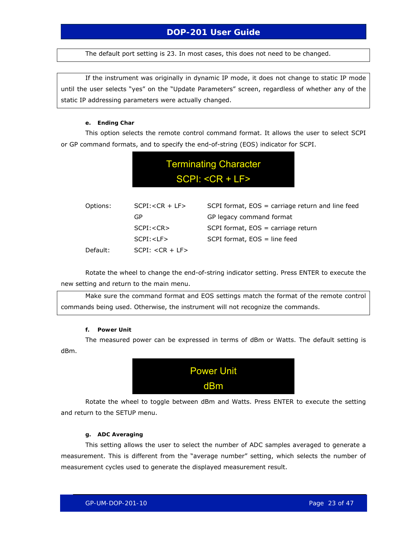The default port setting is 23. In most cases, this does not need to be changed.

If the instrument was originally in dynamic IP mode, it does not change to static IP mode until the user selects "yes" on the "Update Parameters" screen, regardless of whether any of the static IP addressing parameters were actually changed.

#### **e. Ending Char**

This option selects the remote control command format. It allows the user to select SCPI or GP command formats, and to specify the end-of-string (EOS) indicator for SCPI.

# SCPI: <CR + LF> Terminating Character

| Options: | $SCPI: < CR + LF$ | $SCPI$ format, $EOS = carriage$ return and line feed |
|----------|-------------------|------------------------------------------------------|
|          | GP                | GP legacy command format                             |
|          | SCPI: <cr></cr>   | $SCPI$ format, $EOS = carriage$ return               |
|          | $SCPI: < LF$      | $SCPI$ format, $EOS = line$ feed                     |
| Default: | $SCPI: $          |                                                      |

Rotate the wheel to change the end-of-string indicator setting. Press ENTER to execute the new setting and return to the main menu.

Make sure the command format and EOS settings match the format of the remote control commands being used. Otherwise, the instrument will not recognize the commands.

#### **f. Power Unit**

The measured power can be expressed in terms of dBm or Watts. The default setting is dBm.



Rotate the wheel to toggle between dBm and Watts. Press ENTER to execute the setting and return to the SETUP menu.

#### **g. ADC Averaging**

This setting allows the user to select the number of ADC samples averaged to generate a measurement. This is different from the "average number" setting, which selects the number of measurement cycles used to generate the displayed measurement result.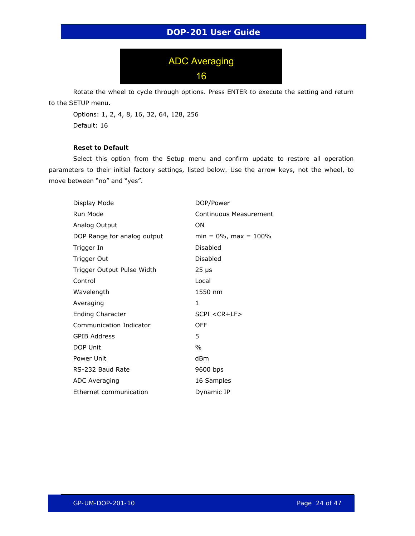

Rotate the wheel to cycle through options. Press ENTER to execute the setting and return to the SETUP menu.

Options: 1, 2, 4, 8, 16, 32, 64, 128, 256 Default: 16

#### **Reset to Default**

Select this option from the Setup menu and confirm update to restore all operation parameters to their initial factory settings, listed below. Use the arrow keys, not the wheel, to move between "no" and "yes".

| Display Mode                | DOP/Power                   |
|-----------------------------|-----------------------------|
| Run Mode                    | Continuous Measurement      |
| Analog Output               | ON                          |
| DOP Range for analog output | $min = 0\%$ , $max = 100\%$ |
| Trigger In                  | Disabled                    |
| Trigger Out                 | Disabled                    |
| Trigger Output Pulse Width  | $25 \mu s$                  |
| Control                     | Local                       |
| Wavelength                  | 1550 nm                     |
| Averaging                   | 1                           |
| <b>Ending Character</b>     | $SCPI < CR + LF$            |
| Communication Indicator     | OFF                         |
| <b>GPIB Address</b>         | 5                           |
| DOP Unit                    | $\frac{0}{0}$               |
| Power Unit                  | dBm                         |
| RS-232 Baud Rate            | 9600 bps                    |
| <b>ADC Averaging</b>        | 16 Samples                  |
| Ethernet communication      | Dynamic IP                  |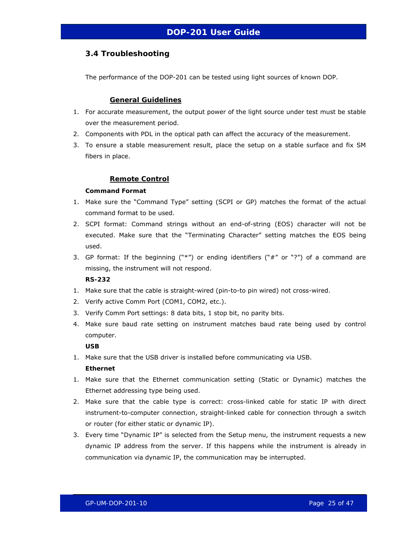## <span id="page-24-0"></span>**3.4 Troubleshooting**

The performance of the DOP-201 can be tested using light sources of known DOP.

#### **General Guidelines**

- 1. For accurate measurement, the output power of the light source under test must be stable over the measurement period.
- 2. Components with PDL in the optical path can affect the accuracy of the measurement.
- 3. To ensure a stable measurement result, place the setup on a stable surface and fix SM fibers in place.

#### **Remote Control**

#### **Command Format**

- 1. Make sure the "Command Type" setting (SCPI or GP) matches the format of the actual command format to be used.
- 2. SCPI format: Command strings without an end-of-string (EOS) character will not be executed. Make sure that the "Terminating Character" setting matches the EOS being used.
- 3. GP format: If the beginning ("\*") or ending identifiers ("#" or "?") of a command are missing, the instrument will not respond.

#### **RS-232**

- 1. Make sure that the cable is straight-wired (pin-to-to pin wired) not cross-wired.
- 2. Verify active Comm Port (COM1, COM2, etc.).
- 3. Verify Comm Port settings: 8 data bits, 1 stop bit, no parity bits.
- 4. Make sure baud rate setting on instrument matches baud rate being used by control computer.

#### **USB**

- 1. Make sure that the USB driver is installed before communicating via USB. **Ethernet**
- 1. Make sure that the Ethernet communication setting (Static or Dynamic) matches the Ethernet addressing type being used.
- 2. Make sure that the cable type is correct: cross-linked cable for static IP with direct instrument-to-computer connection, straight-linked cable for connection through a switch or router (for either static or dynamic IP).
- 3. Every time "Dynamic IP" is selected from the Setup menu, the instrument requests a new dynamic IP address from the server. If this happens while the instrument is already in communication via dynamic IP, the communication may be interrupted.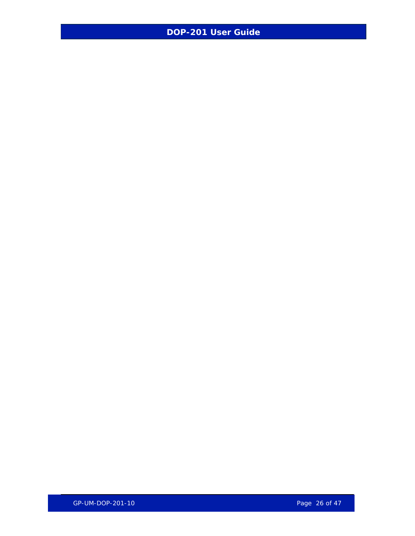*GP-UM-DOP-201-10 Page 26 of 47*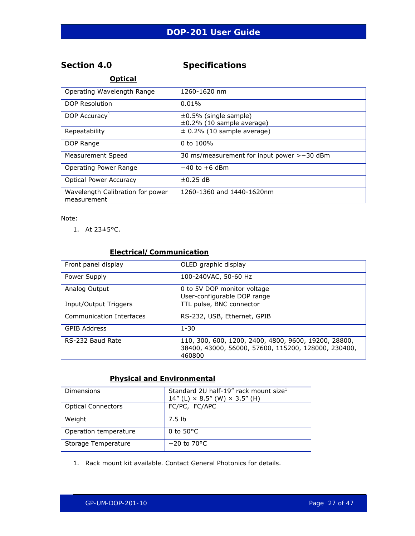# <span id="page-26-0"></span>**Section 4.0 Specifications**

| <b>Optical</b>                                  |                                                                |
|-------------------------------------------------|----------------------------------------------------------------|
| Operating Wavelength Range                      | 1260-1620 nm                                                   |
| DOP Resolution                                  | 0.01%                                                          |
| DOP Accuracy <sup>1</sup>                       | $\pm 0.5\%$ (single sample)<br>$\pm 0.2\%$ (10 sample average) |
| Repeatability                                   | $\pm$ 0.2% (10 sample average)                                 |
| DOP Range                                       | 0 to $100%$                                                    |
| Measurement Speed                               | 30 ms/measurement for input power > - 30 dBm                   |
| Operating Power Range                           | $-40$ to $+6$ dBm                                              |
| <b>Optical Power Accuracy</b>                   | $\pm 0.25$ dB                                                  |
| Wavelength Calibration for power<br>measurement | 1260-1360 and 1440-1620nm                                      |

Note:

1. At 23±5°C.

#### **Electrical/Communication**

| Front panel display      | OLED graphic display                                                                                                  |
|--------------------------|-----------------------------------------------------------------------------------------------------------------------|
| Power Supply             | 100-240VAC, 50-60 Hz                                                                                                  |
| Analog Output            | 0 to 5V DOP monitor voltage<br>User-configurable DOP range                                                            |
| Input/Output Triggers    | TTL pulse, BNC connector                                                                                              |
| Communication Interfaces | RS-232, USB, Ethernet, GPIB                                                                                           |
| <b>GPIB Address</b>      | $1 - 30$                                                                                                              |
| RS-232 Baud Rate         | 110, 300, 600, 1200, 2400, 4800, 9600, 19200, 28800,<br>38400, 43000, 56000, 57600, 115200, 128000, 230400,<br>460800 |

## **Physical and Environmental**

| <b>Dimensions</b>         | Standard 2U half-19" rack mount size <sup>1</sup><br>14" (L) $\times$ 8.5" (W) $\times$ 3.5" (H) |
|---------------------------|--------------------------------------------------------------------------------------------------|
| <b>Optical Connectors</b> | FC/PC, FC/APC                                                                                    |
| Weight                    | 7.5 <sub>1b</sub>                                                                                |
| Operation temperature     | 0 to $50^{\circ}$ C                                                                              |
| Storage Temperature       | $-20$ to 70 °C                                                                                   |

1. Rack mount kit available. Contact General Photonics for details.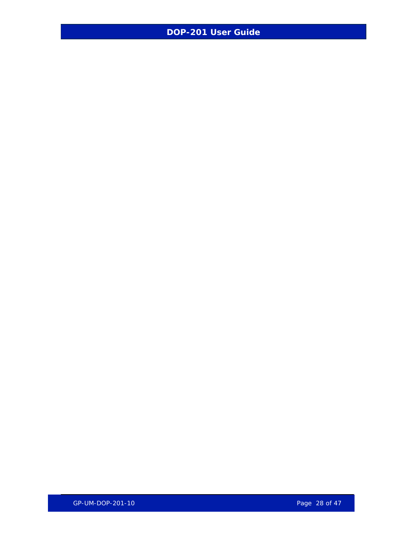*GP-UM-DOP-201-10 Page 28 of 47*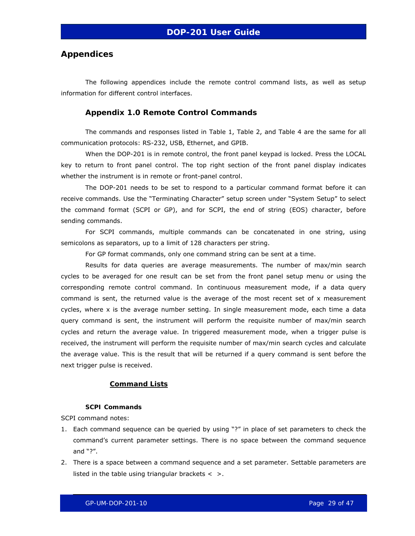#### <span id="page-28-0"></span>**Appendices**

The following appendices include the remote control command lists, as well as setup information for different control interfaces.

#### **Appendix 1.0 Remote Control Commands**

The commands and responses listed in [Table 1,](#page-29-0) [Table 2,](#page-31-0) and [Table 4](#page-33-0) are the same for all communication protocols: RS-232, USB, Ethernet, and GPIB.

When the DOP-201 is in remote control, the front panel keypad is locked. Press the LOCAL key to return to front panel control. The top right section of the front panel display indicates whether the instrument is in remote or front-panel control.

The DOP-201 needs to be set to respond to a particular command format before it can receive commands. Use the "Terminating Character" setup screen under "System Setup" to select the command format (SCPI or GP), and for SCPI, the end of string (EOS) character, before sending commands.

For SCPI commands, multiple commands can be concatenated in one string, using semicolons as separators, up to a limit of 128 characters per string.

For GP format commands, only one command string can be sent at a time.

Results for data queries are average measurements. The number of max/min search cycles to be averaged for one result can be set from the front panel setup menu or using the corresponding remote control command. In continuous measurement mode, if a data query command is sent, the returned value is the average of the most recent set of  $x$  measurement cycles, where x is the average number setting. In single measurement mode, each time a data query command is sent, the instrument will perform the requisite number of max/min search cycles and return the average value. In triggered measurement mode, when a trigger pulse is received, the instrument will perform the requisite number of max/min search cycles and calculate the average value. This is the result that will be returned if a query command is sent before the next trigger pulse is received.

#### **Command Lists**

#### **SCPI Commands**

SCPI command notes:

- 1. Each command sequence can be queried by using "?" in place of set parameters to check the command's current parameter settings. There is no space between the command sequence and "?".
- 2. There is a space between a command sequence and a set parameter. Settable parameters are listed in the table using triangular brackets  $\langle \rangle$ .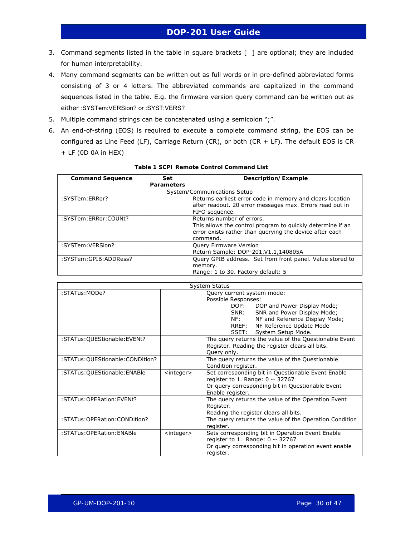- 3. Command segments listed in the table in square brackets [ ] are optional; they are included for human interpretability.
- 4. Many command segments can be written out as full words or in pre-defined abbreviated forms consisting of 3 or 4 letters. The abbreviated commands are capitalized in the command sequences listed in the table. E.g. the firmware version query command can be written out as either :SYSTem:VERSion? or :SYST:VERS?
- 5. Multiple command strings can be concatenated using a semicolon ";".
- 6. An end-of-string (EOS) is required to execute a complete command string, the EOS can be configured as Line Feed (LF), Carriage Return (CR), or both (CR + LF). The default EOS is CR + LF (0D 0A in HEX)

<span id="page-29-0"></span>

| <b>Command Sequence</b> | <b>Set</b>        | Description/Example                                                                                                                                            |
|-------------------------|-------------------|----------------------------------------------------------------------------------------------------------------------------------------------------------------|
|                         | <b>Parameters</b> |                                                                                                                                                                |
|                         |                   | System/Communications Setup                                                                                                                                    |
| :SYSTem:ERRor?          |                   | Returns earliest error code in memory and clears location<br>after readout. 20 error messages max. Errors read out in<br>FIFO sequence.                        |
| :SYSTem:ERRor:COUNt?    |                   | Returns number of errors.<br>This allows the control program to quickly determine if an<br>error exists rather than querying the device after each<br>command. |
| :SYSTem:VERSion?        |                   | Query Firmware Version<br>Return Sample: DOP-201, V1.1, 140805A                                                                                                |
| :SYSTem:GPIB:ADDRess?   |                   | Query GPIB address. Set from front panel. Value stored to<br>memory.<br>Range: 1 to 30. Factory default: 5                                                     |

#### **Table 1 SCPI Remote Control Command List**

| <b>System Status</b>            |                     |                                                                                                                                                                                                                                     |
|---------------------------------|---------------------|-------------------------------------------------------------------------------------------------------------------------------------------------------------------------------------------------------------------------------------|
| :STATus:MODe?                   |                     | Query current system mode:<br>Possible Responses:<br>DOP:<br>DOP and Power Display Mode;<br>SNR: SNR and Power Display Mode;<br>NF and Reference Display Mode;<br>NF:<br>RREF: NF Reference Update Mode<br>SSET: System Setup Mode. |
| :STATus: QUEStionable: EVENt?   |                     | The query returns the value of the Questionable Event<br>Register. Reading the register clears all bits.<br>Query only.                                                                                                             |
| :STATus:QUEStionable:CONDition? |                     | The query returns the value of the Questionable<br>Condition register.                                                                                                                                                              |
| :STATus:QUEStionable:ENABle     | <integer></integer> | Set corresponding bit in Questionable Event Enable<br>register to 1. Range: $0 \sim 32767$<br>Or query corresponding bit in Questionable Event<br>Enable register.                                                                  |
| :STATus:OPERation:EVENt?        |                     | The query returns the value of the Operation Event<br>Register.<br>Reading the register clears all bits.                                                                                                                            |
| :STATus:OPERation:CONDition?    |                     | The query returns the value of the Operation Condition<br>register.                                                                                                                                                                 |
| :STATus:OPERation:ENABle        | <integer></integer> | Sets corresponding bit in Operation Event Enable<br>register to 1. Range: $0 \sim 32767$<br>Or query corresponding bit in operation event enable<br>register.                                                                       |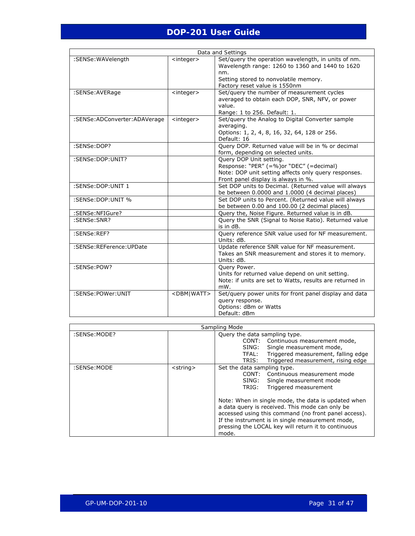| Data and Settings            |                       |                                                                                                                                                                                         |
|------------------------------|-----------------------|-----------------------------------------------------------------------------------------------------------------------------------------------------------------------------------------|
| :SENSe:WAVelength            | <integer></integer>   | Set/query the operation wavelength, in units of nm.<br>Wavelength range: 1260 to 1360 and 1440 to 1620<br>nm.<br>Setting stored to nonvolatile memory.<br>Factory reset value is 1550nm |
| :SENSe:AVERage               | <integer></integer>   | Set/query the number of measurement cycles<br>averaged to obtain each DOP, SNR, NFV, or power<br>value.<br>Range: 1 to 256. Default: 1.                                                 |
| :SENSe:ADConverter:ADAVerage | <integer></integer>   | Set/query the Analog to Digital Converter sample<br>averaging.<br>Options: 1, 2, 4, 8, 16, 32, 64, 128 or 256.<br>Default: 16                                                           |
| :SENSe:DOP?                  |                       | Query DOP. Returned value will be in % or decimal<br>form, depending on selected units.                                                                                                 |
| :SENSe:DOP:UNIT?             |                       | Query DOP Unit setting.<br>Response: "PER" (=%)or "DEC" (=decimal)<br>Note: DOP unit setting affects only query responses.<br>Front panel display is always in %.                       |
| :SENSe:DOP:UNIT 1            |                       | Set DOP units to Decimal. (Returned value will always<br>be between 0.0000 and 1.0000 (4 decimal places)                                                                                |
| :SENSe:DOP:UNIT %            |                       | Set DOP units to Percent. (Returned value will always<br>be between 0.00 and 100.00 (2 decimal places)                                                                                  |
| :SENSe:NFIGure?              |                       | Query the, Noise Figure. Returned value is in dB.                                                                                                                                       |
| :SENSe:SNR?                  |                       | Query the SNR (Signal to Noise Ratio). Returned value<br>is in dB.                                                                                                                      |
| :SENSe:REF?                  |                       | Query reference SNR value used for NF measurement.<br>Units: dB.                                                                                                                        |
| :SENSe:REFerence:UPDate      |                       | Update reference SNR value for NF measurement.<br>Takes an SNR measurement and stores it to memory.<br>Units: dB.                                                                       |
| :SENSe:POW?                  |                       | Query Power.<br>Units for returned value depend on unit setting.<br>Note: if units are set to Watts, results are returned in<br>mW.                                                     |
| :SENSe:POWer:UNIT            | <dbm watt></dbm watt> | Set/query power units for front panel display and data<br>query response.<br>Options: dBm or Watts<br>Default: dBm                                                                      |

| Sampling Mode |                |                               |                                                                                                                                                                                                                                                                           |
|---------------|----------------|-------------------------------|---------------------------------------------------------------------------------------------------------------------------------------------------------------------------------------------------------------------------------------------------------------------------|
| :SENSe:MODE?  |                | Query the data sampling type. |                                                                                                                                                                                                                                                                           |
|               |                |                               | CONT: Continuous measurement mode,                                                                                                                                                                                                                                        |
|               |                | SING:                         | Single measurement mode,                                                                                                                                                                                                                                                  |
|               |                | TFAL:                         | Triggered measurement, falling edge                                                                                                                                                                                                                                       |
|               |                | TRIS:                         | Triggered measurement, rising edge                                                                                                                                                                                                                                        |
| :SENSe:MODE   | $<$ string $>$ | Set the data sampling type.   |                                                                                                                                                                                                                                                                           |
|               |                | CONT:                         | Continuous measurement mode                                                                                                                                                                                                                                               |
|               |                | SING:                         | Single measurement mode                                                                                                                                                                                                                                                   |
|               |                | TRIG:                         | Triggered measurement                                                                                                                                                                                                                                                     |
|               |                | mode.                         | Note: When in single mode, the data is updated when<br>a data query is received. This mode can only be<br>accessed using this command (no front panel access).<br>If the instrument is in single measurement mode,<br>pressing the LOCAL key will return it to continuous |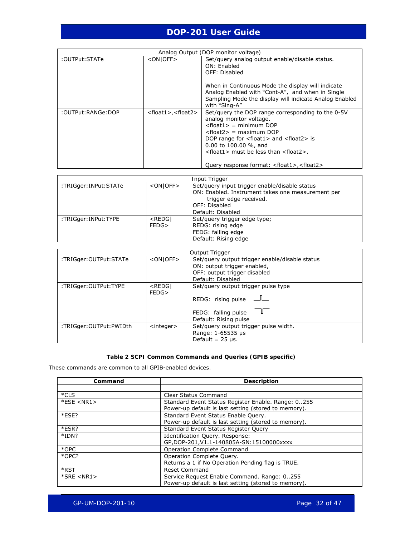| Analog Output (DOP monitor voltage) |                                     |                                                                                                                                                                                                                                                                                                                                                        |
|-------------------------------------|-------------------------------------|--------------------------------------------------------------------------------------------------------------------------------------------------------------------------------------------------------------------------------------------------------------------------------------------------------------------------------------------------------|
| :OUTPut:STATe                       | $<$ ON $ $ OFF $>$                  | Set/query analog output enable/disable status.<br>ON: Enabled<br>OFF: Disabled<br>When in Continuous Mode the display will indicate<br>Analog Enabled with "Cont-A", and when in Single<br>Sampling Mode the display will indicate Analog Enabled<br>with "Sing-A"                                                                                     |
| :OUTPut:RANGe:DOP                   | <float1>,<float2></float2></float1> | Set/guery the DOP range corresponding to the 0-5V<br>analog monitor voltage.<br>$<$ float1> = minimum DOP<br>$<$ float2> = maximum DOP<br>DOP range for $\langle$ float1 > and $\langle$ float2 > is<br>0.00 to 100.00 %, and<br><float1> must be less than <float2>.<br/>Ouery response format: <float1>,<float2></float2></float1></float2></float1> |

|                      |                           | Input Trigger                                                                                                                                                      |
|----------------------|---------------------------|--------------------------------------------------------------------------------------------------------------------------------------------------------------------|
| :TRIGger:INPut:STATe | <on off></on off>         | Set/query input trigger enable/disable status<br>ON: Enabled. Instrument takes one measurement per<br>trigger edge received.<br>OFF: Disabled<br>Default: Disabled |
| :TRIGger:INPut:TYPE  | <redg <br>FEDG</redg <br> | Set/query trigger edge type;<br>REDG: rising edge<br>FEDG: falling edge<br>Default: Rising edge                                                                    |

| <b>Output Trigger</b>  |                           |                                                                                                                                    |
|------------------------|---------------------------|------------------------------------------------------------------------------------------------------------------------------------|
| :TRIGger:OUTPut:STATe  | <on off></on off>         | Set/query output trigger enable/disable status<br>ON: output trigger enabled,<br>OFF: output trigger disabled<br>Default: Disabled |
| :TRIGger:OUTPut:TYPE   | <redg <br>FEDG</redg <br> | Set/query output trigger pulse type<br>REDG: rising pulse<br>$\mathbf{H}$<br>FEDG: falling pulse<br>Default: Rising pulse          |
| :TRIGger:OUTPut:PWIDth | <integer></integer>       | Set/query output trigger pulse width.<br>Range: 1-65535 µs<br>Default = $25 \text{ }\mu\text{s}$ .                                 |

#### **Table 2 SCPI Common Commands and Queries (GPIB specific)**

<span id="page-31-0"></span>These commands are common to all GPIB-enabled devices.

| Command             | <b>Description</b>                                   |
|---------------------|------------------------------------------------------|
|                     |                                                      |
| $*$ CLS             | <b>Clear Status Command</b>                          |
| $*$ ESE <nr1></nr1> | Standard Event Status Register Enable. Range: 0255   |
|                     | Power-up default is last setting (stored to memory). |
| *ESE?               | Standard Event Status Enable Query.                  |
|                     | Power-up default is last setting (stored to memory). |
| *ESR?               | Standard Event Status Register Query                 |
| *IDN?               | Identification Query. Response:                      |
|                     | GP,DOP-201,V1.1-140805A-SN:15100000xxxx              |
| *OPC                | Operation Complete Command                           |
| $*$ OPC?            | Operation Complete Query.                            |
|                     | Returns a 1 if No Operation Pending flag is TRUE.    |
| *RST                | <b>Reset Command</b>                                 |
| $*SRE < NR1$        | Service Request Enable Command. Range: 0255          |
|                     | Power-up default is last setting (stored to memory). |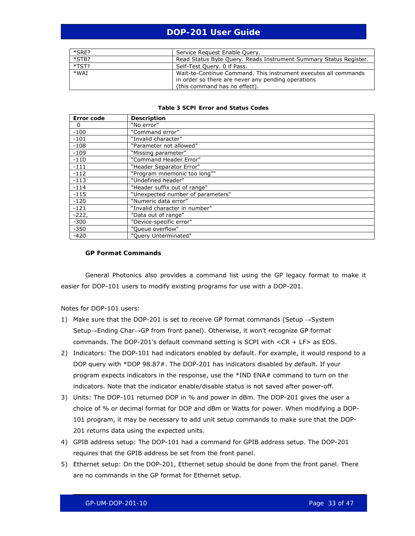| *SRE?    | Service Request Enable Query.                                                                                                                          |
|----------|--------------------------------------------------------------------------------------------------------------------------------------------------------|
| $*$ STB? | Read Status Byte Query. Reads Instrument Summary Status Register.                                                                                      |
| *TST?    | Self-Test Query. 0 if Pass.                                                                                                                            |
| $*$ WAI  | Wait-to-Continue Command. This instrument executes all commands<br>in order so there are never any pending operations<br>(this command has no effect). |

#### **Table 3 SCPI Error and Status Codes**

| Error code | <b>Description</b>                |
|------------|-----------------------------------|
| 0          | "No error"                        |
| $-100$     | "Command error"                   |
| $-101$     | "Invalid character"               |
| $-108$     | "Parameter not allowed"           |
| $-109$     | "Missing parameter"               |
| $-110$     | "Command Header Error"            |
| $-111$     | "Header Separator Error"          |
| $-112$     | "Program mnemonic too long""      |
| $-113$     | "Undefined header"                |
| $-114$     | "Header suffix out of range"      |
| $-115$     | "Unexpected number of parameters" |
| $-120$     | "Numeric data error"              |
| $-121$     | "Invalid character in number"     |
| $-222$     | "Data out of range"               |
| $-300$     | "Device-specific error"           |
| $-350$     | "Queue overflow"                  |
| $-420$     | "Query Unterminated"              |

#### **GP Format Commands**

General Photonics also provides a command list using the GP legacy format to make it easier f or DOP-101 users to modify existing programs for use with a DOP-201.

Notes for DOP-101 users:

- 1) Make sure that the DOP-201 is set to receive GP format commands (Setup  $\rightarrow$ System Setup→Ending Char→GP from front panel). Otherwise, it won't recognize GP format commands. The DOP-201's default command setting is SCPI with <CR + LF> as EOS.
- 2) Indicators: The DOP-101 had indicators enabled by default. For example, it would respond to a DOP query with \*DOP 98.87#. The DOP-201 has indicators disabled by default. If your program expects indicators in the response, use the \*IND ENA# command to turn on the indicators. Note that the indicator enable/disable status is not saved after power-off.
- choice of % or decimal format for DOP and dBm or Watts for power. When modifying a DOP-3) Units: The DOP-101 returned DOP in % and power in dBm. The DOP-201 gives the user a 101 program, it may be necessary to add unit setup commands to make sure that the DOP-201 returns data using the expected units.
- 4) GPIB address setup: The DOP-101 had a command for GPIB address setup. The DOP-201 requires that the GPIB address be set from the front panel.
- 5) Ethernet setup: On the DOP-201, Ethernet setup should be done from the front panel. There are no commands in the GP format for Ethernet setup.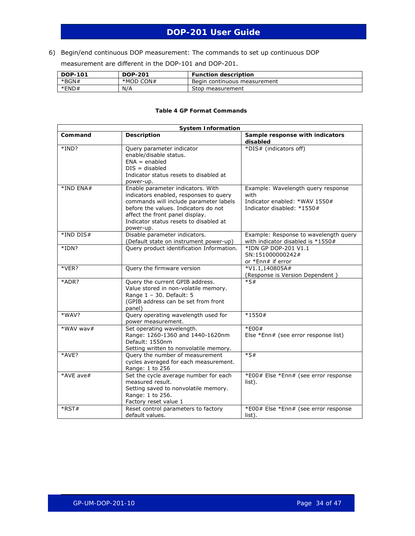6) Begin/end continuous DOP measurement: The commands to set up continuous DOP

measurement are different in the DOP-101 and DOP-201.

| DOP-101  | <b>DOP-201</b> | <b>Function description</b>  |
|----------|----------------|------------------------------|
| $*$ BGN# | *MOD CON#      | Begin continuous measurement |
| $*END#$  | N/A            | Stop measurement             |

#### **Table 4 GP Format Commands**

<span id="page-33-0"></span>

| <b>System Information</b> |                                                                                                                                                                                                                                                         |                                                                                                           |
|---------------------------|---------------------------------------------------------------------------------------------------------------------------------------------------------------------------------------------------------------------------------------------------------|-----------------------------------------------------------------------------------------------------------|
| Command                   | <b>Description</b>                                                                                                                                                                                                                                      | Sample response with indicators<br>disabled                                                               |
| *IND?                     | Query parameter indicator<br>enable/disable status.<br>$ENA = enabled$<br>$DIS = disabled$<br>Indicator status resets to disabled at<br>power-up.                                                                                                       | *DIS# (indicators off)                                                                                    |
| *IND ENA#                 | Enable parameter indicators. With<br>indicators enabled, responses to query<br>commands will include parameter labels<br>before the values. Indicators do not<br>affect the front panel display.<br>Indicator status resets to disabled at<br>power-up. | Example: Wavelength query response<br>with<br>Indicator enabled: *WAV 1550#<br>Indicator disabled: *1550# |
| $*$ IND DIS#              | Disable parameter indicators.<br>(Default state on instrument power-up)                                                                                                                                                                                 | Example: Response to wavelength query<br>with indicator disabled is $*1550#$                              |
| $*IDN?$                   | Query product identification Information.                                                                                                                                                                                                               | *IDN GP DOP-201 V1.1<br>SN:151000000242#<br>or *Enn# if error                                             |
| *VER?                     | Query the firmware version                                                                                                                                                                                                                              | $*V1.1,140805A#$<br>(Response is Version Dependent)                                                       |
| *ADR?                     | Query the current GPIB address.<br>Value stored in non-volatile memory.<br>Range 1 - 30. Default: 5<br>(GPIB address can be set from front<br>panel)                                                                                                    | $*5#$                                                                                                     |
| *WAV?                     | Query operating wavelength used for<br>power measurement.                                                                                                                                                                                               | $*1550#$                                                                                                  |
| *WAV wav#                 | Set operating wavelength.<br>Range: 1260-1360 and 1440-1620nm<br>Default: 1550nm<br>Setting written to nonvolatile memory.                                                                                                                              | *E00#<br>Else *Enn# (see error response list)                                                             |
| *AVE?                     | Query the number of measurement<br>cycles averaged for each measurement.<br>Range: 1 to 256                                                                                                                                                             | $*5#$                                                                                                     |
| *AVE ave#                 | Set the cycle average number for each<br>measured result.<br>Setting saved to nonvolatile memory.<br>Range: 1 to 256.<br>Factory reset value 1                                                                                                          | *E00# Else *Enn# (see error response<br>list).                                                            |
| $*$ RST#                  | Reset control parameters to factory<br>default values.                                                                                                                                                                                                  | *E00# Else *Enn# (see error response<br>list).                                                            |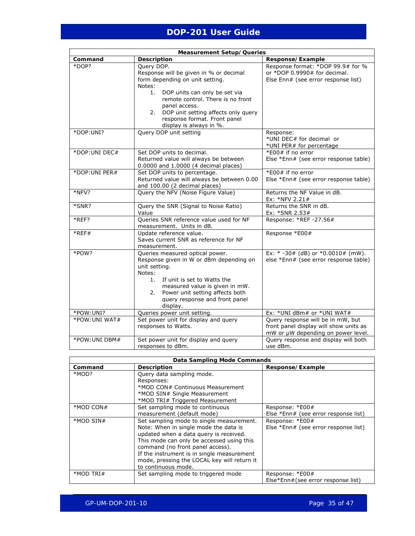| <b>Measurement Setup/Queries</b> |                                                                                                                                                                                                                                                                                                        |                                                                                                                   |  |  |
|----------------------------------|--------------------------------------------------------------------------------------------------------------------------------------------------------------------------------------------------------------------------------------------------------------------------------------------------------|-------------------------------------------------------------------------------------------------------------------|--|--|
| Command                          | Description                                                                                                                                                                                                                                                                                            | Response/Example                                                                                                  |  |  |
| *DOP?                            | Query DOP.<br>Response will be given in % or decimal<br>form depending on unit setting.<br>Notes:<br>DOP units can only be set via<br>1.<br>remote control. There is no front<br>panel access.<br>2.<br>DOP unit setting affects only query<br>response format. Front panel<br>display is always in %. | Response format: *DOP 99.9# for %<br>or *DOP 0.9990# for decimal.<br>Else Enn# (see error response list)          |  |  |
| *DOP:UNI?                        | Query DOP unit setting                                                                                                                                                                                                                                                                                 | Response:<br>*UNI DEC# for decimal or<br>*UNI PER# for percentage                                                 |  |  |
| *DOP: UNI DEC#                   | Set DOP units to decimal.<br>Returned value will always be between<br>0.0000 and 1.0000 (4 decimal places)                                                                                                                                                                                             | *E00# if no error<br>Else *Enn# (see error response table)                                                        |  |  |
| *DOP: UNI PER#                   | Set DOP units to percentage.<br>Returned value will always be between 0.00<br>and 100.00 (2 decimal places)                                                                                                                                                                                            | $*E00#$ if no error<br>Else *Enn# (see error response table)                                                      |  |  |
| *NFV?                            | Query the NFV (Noise Figure Value)                                                                                                                                                                                                                                                                     | Returns the NF Value in dB.<br>Ex: *NFV 2.21#                                                                     |  |  |
| *SNR?                            | Query the SNR (Signal to Noise Ratio)<br>Value                                                                                                                                                                                                                                                         | Returns the SNR in dB.<br>Ex: *SNR 2.53#                                                                          |  |  |
| *REF?                            | Queries SNR reference value used for NF<br>measurement. Units in dB.                                                                                                                                                                                                                                   | Response: *REF -27.56#                                                                                            |  |  |
| $*$ REF#                         | Update reference value.<br>Saves current SNR as reference for NF<br>measurement.                                                                                                                                                                                                                       | Response *E00#                                                                                                    |  |  |
| *POW?                            | Queries measured optical power.<br>Response given in W or dBm depending on<br>unit setting.<br>Notes:<br>If unit is set to Watts the<br>1.<br>measured value is given in mW.<br>Power unit setting affects both<br>2.<br>query response and front panel<br>display.                                    | Ex: $* -30$ # (dB) or $*0.0010$ # (mW).<br>else *Enn# (see error response table)                                  |  |  |
| *POW:UNI?                        | Queries power unit setting.                                                                                                                                                                                                                                                                            | Ex: * UNI dBm# or * UNI WAT#                                                                                      |  |  |
| *POW: UNI WAT#                   | Set power unit for display and query<br>responses to Watts.                                                                                                                                                                                                                                            | Query response will be in mW, but<br>front panel display will show units as<br>mW or µW depending on power level. |  |  |
| *POW: UNI DBM#                   | Set power unit for display and query<br>responses to dBm.                                                                                                                                                                                                                                              | Query response and display will both<br>use dBm.                                                                  |  |  |

| Data Sampling Mode Commands |                                                                                                                                                                                                                                                                                                                                  |                                                         |
|-----------------------------|----------------------------------------------------------------------------------------------------------------------------------------------------------------------------------------------------------------------------------------------------------------------------------------------------------------------------------|---------------------------------------------------------|
| Command                     | Description                                                                                                                                                                                                                                                                                                                      | Response/Example                                        |
| *MOD?                       | Query data sampling mode.<br>Responses:<br>*MOD CON# Continuous Measurement<br>*MOD SIN# Single Measurement<br>*MOD TRI# Triggered Measurement                                                                                                                                                                                   |                                                         |
| *MOD CON#                   | Set sampling mode to continuous<br>measurement (default mode)                                                                                                                                                                                                                                                                    | Response: *E00#<br>Else *Enn# (see error response list) |
| *MOD SIN#                   | Set sampling mode to single measurement.<br>Note: When in single mode the data is<br>updated when a data query is received.<br>This mode can only be accessed using this<br>command (no front panel access).<br>If the instrument is in single measurement<br>mode, pressing the LOCAL key will return it<br>to continuous mode. | Response: *E00#<br>Else *Enn# (see error response list) |
| *MOD TRI#                   | Set sampling mode to triggered mode                                                                                                                                                                                                                                                                                              | Response: *E00#<br>Else*Enn#(see error response list)   |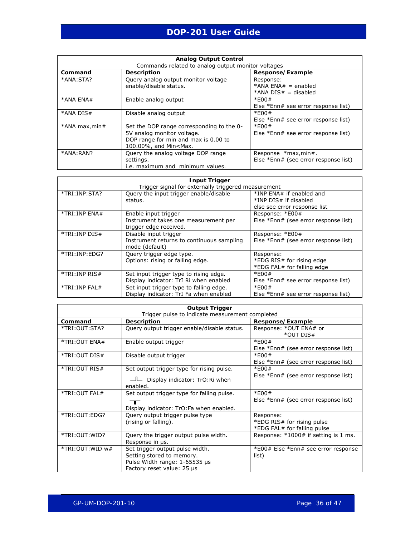| <b>Analog Output Control</b><br>Commands related to analog output monitor voltages |                                                                                                                                                                                                                              |                                                                |
|------------------------------------------------------------------------------------|------------------------------------------------------------------------------------------------------------------------------------------------------------------------------------------------------------------------------|----------------------------------------------------------------|
| Command                                                                            | Description                                                                                                                                                                                                                  | Response/Example                                               |
| *ANA:STA?                                                                          | Query analog output monitor voltage<br>enable/disable status.                                                                                                                                                                | Response:<br>*ANA $ENA#$ = enabled<br>*ANA DIS# = disabled     |
| *ANA ENA#                                                                          | Enable analog output                                                                                                                                                                                                         | $*E00#$<br>Else *Enn# see error response list)                 |
| *ANA DIS#                                                                          | Disable analog output                                                                                                                                                                                                        | $*E00#$<br>Else *Enn# see error response list)                 |
| $*$ ANA <i>max</i> , min#                                                          | Set the DOP range corresponding to the 0-<br>5V analog monitor voltage.<br>DOP range for min and max is 0.00 to<br>100.00%, and Min <max.< td=""><td><math>*E00#</math><br/>Else *Enn# see error response list)</td></max.<> | $*E00#$<br>Else *Enn# see error response list)                 |
| *ANA: RAN?                                                                         | Query the analog voltage DOP range<br>settings.<br>i.e. <i>maximum and minimum</i> values.                                                                                                                                   | Response $*max,min$ #.<br>Else *Enn# (see error response list) |

| <b>Input Trigger</b><br>Trigger signal for externally triggered measurement |                                                                                        |                                                                                   |  |
|-----------------------------------------------------------------------------|----------------------------------------------------------------------------------------|-----------------------------------------------------------------------------------|--|
| *TRI: INP: STA?                                                             | Query the input trigger enable/disable<br>status.                                      | *INP ENA# if enabled and<br>*INP DIS# if disabled<br>else see error response list |  |
| $*TRI:INP ENA#$                                                             | Enable input trigger<br>Instrument takes one measurement per<br>trigger edge received. | Response: *E00#<br>Else *Enn# (see error response list)                           |  |
| $*TRI:INP DIS#$                                                             | Disable input trigger<br>Instrument returns to continuous sampling<br>mode (default)   | Response: *E00#<br>Else *Enn# (see error response list)                           |  |
| *TRI:INP:EDG?                                                               | Query trigger edge type.<br>Options: rising or falling edge.                           | Response:<br>*EDG RIS# for rising edge<br>*EDG FAL# for falling edge              |  |
| *TRI: INP RIS#                                                              | Set input trigger type to rising edge.<br>Display indicator: TrI Ri when enabled       | $*E00#$<br>Else *Enn# see error response list)                                    |  |
| $*TRI:INP FAL#$                                                             | Set input trigger type to falling edge.<br>Display indicator: TrI Fa when enabled      | $*E00#$<br>Else *Enn# see error response list)                                    |  |

| <b>Output Trigger</b>                           |                                                          |                                      |  |
|-------------------------------------------------|----------------------------------------------------------|--------------------------------------|--|
| Trigger pulse to indicate measurement completed |                                                          |                                      |  |
| Command                                         | Description                                              | Response/Example                     |  |
| *TRI: OUT: STA?                                 | Query output trigger enable/disable status.              | Response: *OUT ENA# or               |  |
|                                                 |                                                          | *OUT DIS#                            |  |
| *TRI: OUT ENA#                                  | Enable output trigger                                    | $*E00#$                              |  |
|                                                 |                                                          | Else *Enn# (see error response list) |  |
| *TRI: OUT DIS#                                  | Disable output trigger                                   | $*E00#$                              |  |
|                                                 |                                                          | Else *Enn# (see error response list) |  |
| *TRI: OUT RIS#                                  | Set output trigger type for rising pulse.                | $*E00#$                              |  |
|                                                 | $\Box$ Display indicator: TrO: Ri when<br>enabled.       | Else *Enn# (see error response list) |  |
| *TRI: OUT FAL#                                  | Set output trigger type for falling pulse.               | $*E00#$                              |  |
|                                                 | $\neg\vdash$                                             | Else *Enn# (see error response list) |  |
|                                                 | Display indicator: TrO: Fa when enabled.                 |                                      |  |
| *TRI:OUT:EDG?                                   | Query output trigger pulse type                          | Response:                            |  |
|                                                 | (rising or falling).                                     | *EDG RIS# for rising pulse           |  |
|                                                 |                                                          | *EDG FAL# for falling pulse          |  |
| *TRI: OUT: WID?                                 | Query the trigger output pulse width.<br>Response in µs. | Response: *1000# if setting is 1 ms. |  |
| $*TRI:OUT:WID \, \mathit{w#}$                   | Set trigger output pulse width.                          | *E00# Else *Enn# see error response  |  |
|                                                 | Setting stored to memory.                                | list)                                |  |
|                                                 | Pulse Width range: 1-65535 µs                            |                                      |  |
|                                                 | Factory reset value: 25 µs                               |                                      |  |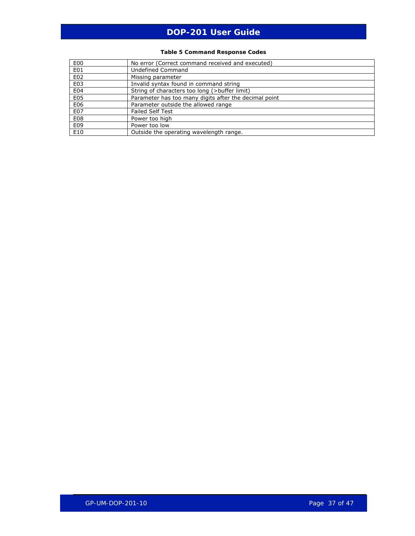#### **Table 5 Command Response Codes**

<span id="page-36-0"></span>

| E <sub>0</sub> | No error (Correct command received and executed)      |
|----------------|-------------------------------------------------------|
| E01            | Undefined Command                                     |
| E02            | Missing parameter                                     |
| E03            | Invalid syntax found in command string                |
| E04            | String of characters too long (>buffer limit)         |
| E05            | Parameter has too many digits after the decimal point |
| E06            | Parameter outside the allowed range                   |
| E07            | <b>Failed Self Test</b>                               |
| E08            | Power too high                                        |
| E09            | Power too low                                         |
| E10            | Outside the operating wavelength range.               |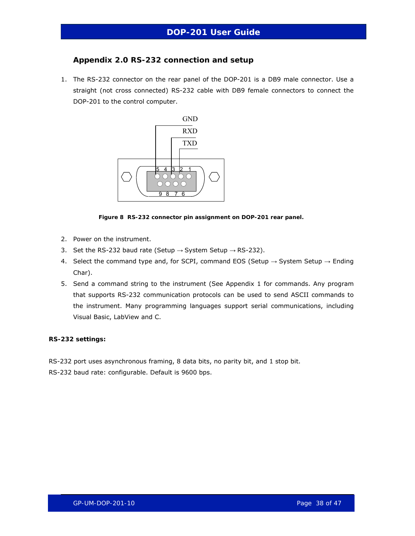#### <span id="page-37-0"></span>**Appendix 2.0 RS-232 connection and setup**

1. The RS-232 connector on the rear panel of the DOP-201 is a DB9 male connector. Use a straight (not cross connected) RS-232 cable with DB9 female connectors to connect the DOP-201 to the control computer.



**Figure 8 RS-232 connector pin assignment on DOP-201 rear panel.** 

- 2. Power on the instrument.
- 3. Set the RS-232 baud rate (Setup  $\rightarrow$  System Setup  $\rightarrow$  RS-232).
- 4. Select the command type and, for SCPI, command EOS (Setup  $\rightarrow$  System Setup  $\rightarrow$  Ending Char).
- 5. Send a command string to the instrument (See Appendix 1 for commands. Any program that supports RS-232 communication protocols can be used to send ASCII commands to the instrument. Many programming languages support serial communications, including Visual Basic, LabView and C.

#### **RS-232 settings:**

- RS-232 port uses asynchronous framing, 8 data bits, no parity bit, and 1 stop bit.
- RS-232 baud rate: configurable. Default is 9600 bps.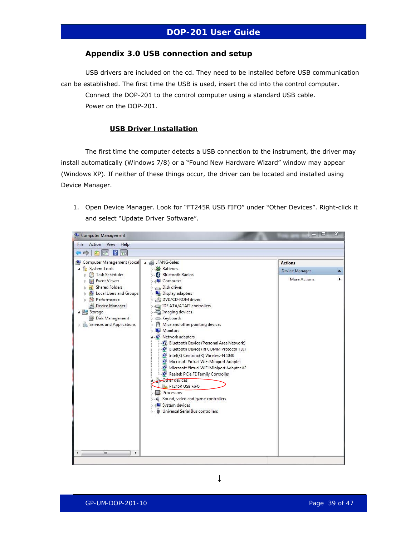### **Appendix 3.0 USB connection and setup**

<span id="page-38-0"></span>USB drivers are included on the cd. They need to be installed before USB communication can be established. The first time the USB is used, insert the cd into the control computer. Connect the DOP-201 to the control computer using a standard USB cable. Power on the DOP-201.

#### **USB Driver Installation**

The first time the computer detects a USB connection to the instrument, the driver may install automatically (Windows 7/8) or a "Found New Hardware Wizard" window may appear (Windows XP). If neither of these things occur, the driver can be located and installed using Device Manager.

1. Open Device Manager. Look for "FT245R USB FIFO" under "Other Devices". Right-click it and select "Update Driver Software".

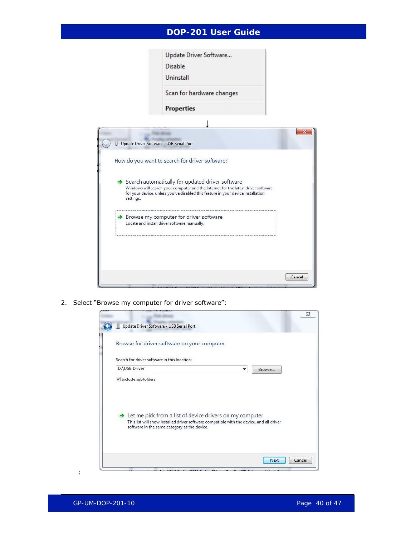| Update Driver Software    |
|---------------------------|
| Disable                   |
| Uninstall                 |
| Scan for hardware changes |
| <b>Properties</b>         |



2. Select "Browse my computer for driver software":



;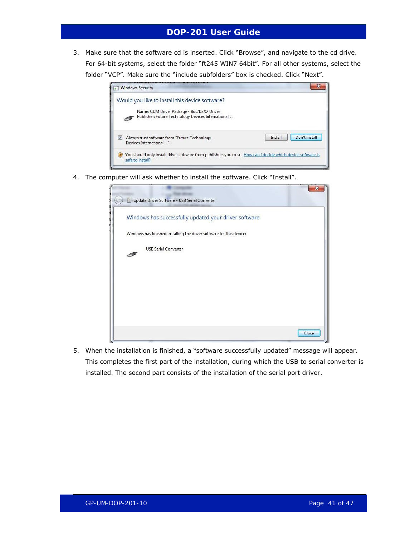3. Make sure that the software cd is inserted. Click "Browse", and navigate to the cd drive. For 64-bit systems, select the folder "ft245 WIN7 64bit". For all other systems, select the folder "VCP". Make sure the "include subfolders" box is checked. Click "Next".

| <b>Windows Security</b>                                                                                                          |                          |
|----------------------------------------------------------------------------------------------------------------------------------|--------------------------|
| Would you like to install this device software?                                                                                  |                          |
| Name: CDM Driver Package - Bus/D2XX Driver<br>Publisher: Future Technology Devices International                                 |                          |
| Always trust software from "Future Technology<br>V<br>Devices International ".                                                   | Don't Install<br>Install |
| You should only install driver software from publishers you trust. How can I decide which device software is<br>safe to install? |                          |

4. The computer will ask whether to install the software. Click "Install".

| Update Driver Software - USB Serial Converter                        | $\mathbf x$ |
|----------------------------------------------------------------------|-------------|
| Windows has successfully updated your driver software                |             |
| Windows has finished installing the driver software for this device: |             |
| <b>USB Serial Converter</b>                                          |             |
|                                                                      |             |
|                                                                      |             |
|                                                                      |             |
|                                                                      |             |
|                                                                      | Close       |

5. When the installation is finished, a "software successfully updated" message will appear. This completes the first part of the installation, during which the USB to serial converter is installed. The second part consists of the installation of the serial port driver.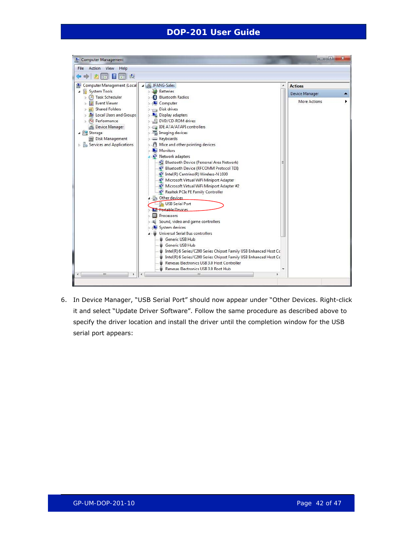

6. In Device Manager, "USB Serial Port" should now appear under "Other Devices. Right-click it and select "Update Driver Software". Follow the same procedure as described above to specify the driver location and install the driver until the completion window for the USB serial port appears: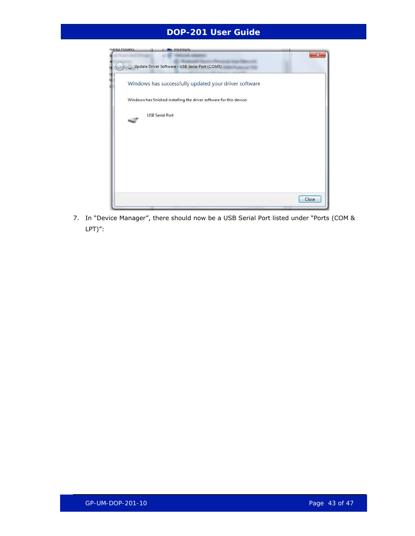

7. In "Device Manager", there should now be a USB Serial Port listed under "Ports (COM & LPT)":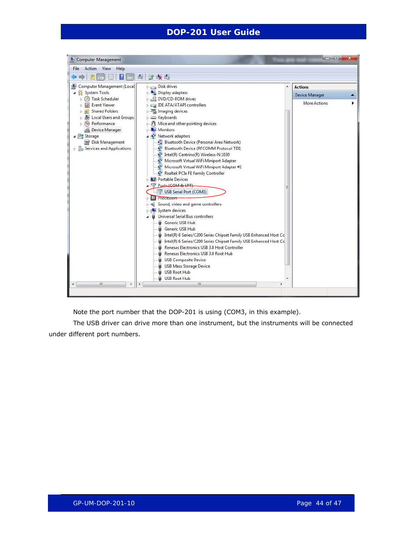

Note the port number that the DOP-201 is using (COM3, in this example).

The USB driver can drive more than one instrument, but the instruments will be connected under different port numbers.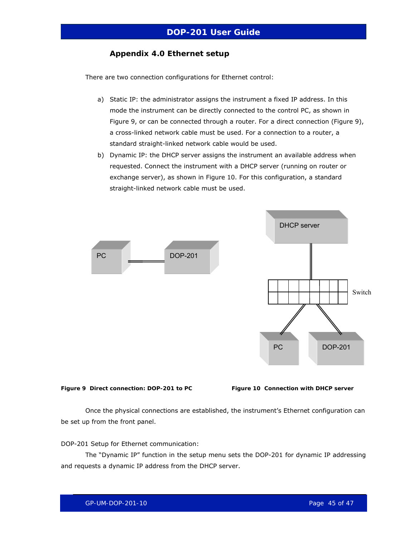### **Appendix 4.0 Ethernet setup**

<span id="page-44-0"></span>There are two connection configurations for Ethernet control:

- a) Static IP: the administrator assigns the instrument a fixed IP address. In this mode the instrument can be directly connected to the control PC, as shown in [Figure 9](#page-44-1), or can be connected through a router. For a direct connection ([Figure 9\)](#page-44-1), a cross-linked network cable must be used. For a connection to a router, a standard straight-linked network cable would be used.
- b) Dynamic IP: the DHCP server assigns the instrument an available address when requested. Connect the instrument with a DHCP server (running on router or exchange server), as shown in Figure 10. For this configuration, a standard straight-linked network cable must be used.



<span id="page-44-1"></span>



Once the physical connections are established, the instrument's Ethernet configuration can be set up from the front panel.

#### DOP-201 Setup for Ethernet communication:

The "Dynamic IP" function in the setup menu sets the DOP-201 for dynamic IP addressing and requests a dynamic IP address from the DHCP server.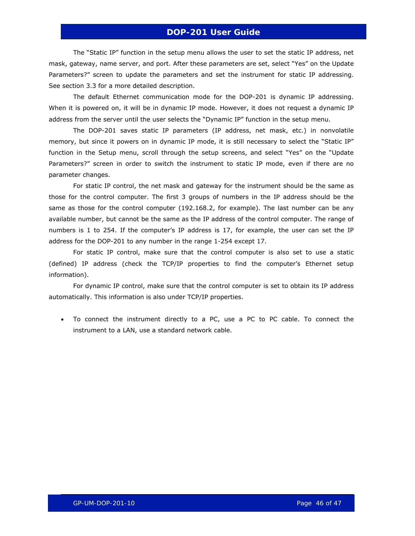The "Static IP" function in the setup menu allows the user to set the static IP address, net mask, gateway, name server, and port. After these parameters are set, select "Yes" on the Update Parameters?" screen to update the parameters and set the instrument for static IP addressing. See section 3.3 for a more detailed description.

The default Ethernet communication mode for the DOP-201 is dynamic IP addressing. When it is powered on, it will be in dynamic IP mode. However, it does not request a dynamic IP address from the server until the user selects the "Dynamic IP" function in the setup menu.

The DOP-201 saves static IP parameters (IP address, net mask, etc.) in nonvolatile memory, but since it powers on in dynamic IP mode, it is still necessary to select the "Static IP" function in the Setup menu, scroll through the setup screens, and select "Yes" on the "Update Parameters?" screen in order to switch the instrument to static IP mode, even if there are no parameter changes.

For static IP control, the net mask and gateway for the instrument should be the same as those for the control computer. The first 3 groups of numbers in the IP address should be the same as those for the control computer (192.168.2, for example). The last number can be any available number, but cannot be the same as the IP address of the control computer. The range of numbers is 1 to 254. If the computer's IP address is 17, for example, the user can set the IP address for the DOP-201 to any number in the range 1-254 except 17.

For static IP control, make sure that the control computer is also set to use a static (defined) IP address (check the TCP/IP properties to find the computer's Ethernet setup information).

For dynamic IP control, make sure that the control computer is set to obtain its IP address automatically. This information is also under TCP/IP properties.

• To connect the instrument directly to a PC, use a PC to PC cable. To connect the instrument to a LAN, use a standard network cable.